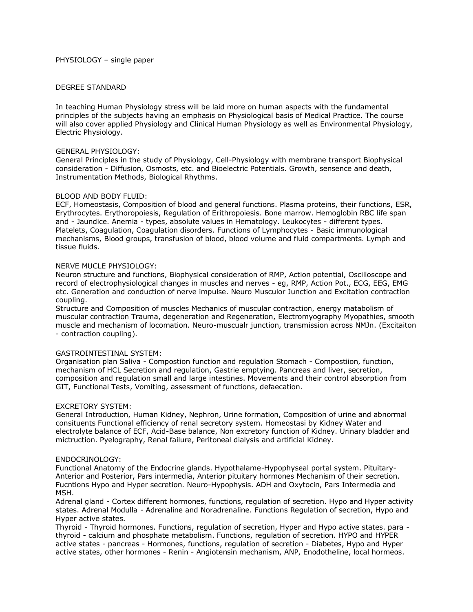## DEGREE STANDARD

In teaching Human Physiology stress will be laid more on human aspects with the fundamental principles of the subjects having an emphasis on Physiological basis of Medical Practice. The course will also cover applied Physiology and Clinical Human Physiology as well as Environmental Physiology, Electric Physiology.

#### GENERAL PHYSIOLOGY:

General Principles in the study of Physiology, Cell-Physiology with membrane transport Biophysical consideration - Diffusion, Osmosts, etc. and Bioelectric Potentials. Growth, sensence and death, Instrumentation Methods, Biological Rhythms.

## BLOOD AND BODY FLUID:

ECF, Homeostasis, Composition of blood and general functions. Plasma proteins, their functions, ESR, Erythrocytes. Erythoropoiesis, Regulation of Erithropoiesis. Bone marrow. Hemoglobin RBC life span and - Jaundice. Anemia - types, absolute values in Hematology. Leukocytes - different types. Platelets, Coagulation, Coagulation disorders. Functions of Lymphocytes - Basic immunological mechanisms, Blood groups, transfusion of blood, blood volume and fluid compartments. Lymph and tissue fluids.

#### NERVE MUCLE PHYSIOLOGY:

Neuron structure and functions, Biophysical consideration of RMP, Action potential, Oscilloscope and record of electrophysiological changes in muscles and nerves - eg, RMP, Action Pot., ECG, EEG, EMG etc. Generation and conduction of nerve impulse. Neuro Musculor Junction and Excitation contraction coupling.

Structure and Composition of muscles Mechanics of muscular contraction, energy matabolism of muscular contraction Trauma, degeneration and Regeneration, Electromyography Myopathies, smooth muscle and mechanism of locomation. Neuro-muscualr junction, transmission across NMJn. (Excitaiton - contraction coupling).

## GASTROINTESTINAL SYSTEM:

Organisation plan Saliva - Compostion function and regulation Stomach - Compostiion, function, mechanism of HCL Secretion and regulation, Gastrie emptying. Pancreas and liver, secretion, composition and regulation small and large intestines. Movements and their control absorption from GIT, Functional Tests, Vomiting, assessment of functions, defaecation.

#### EXCRETORY SYSTEM:

General Introduction, Human Kidney, Nephron, Urine formation, Composition of urine and abnormal consituents Functional efficiency of renal secretory system. Homeostasi by Kidney Water and electrolyte balance of ECF, Acid-Base balance, Non excretory function of Kidney. Urinary bladder and mictruction. Pyelography, Renal failure, Peritoneal dialysis and artificial Kidney.

#### ENDOCRINOLOGY:

Functional Anatomy of the Endocrine glands. Hypothalame-Hypophyseal portal system. Pituitary-Anterior and Posterior, Pars intermedia, Anterior pituitary hormones Mechanism of their secretion. Fucntions Hypo and Hyper secretion. Neuro-Hypophysis. ADH and Oxytocin, Pars Intermedia and MSH.

Adrenal gland - Cortex different hormones, functions, regulation of secretion. Hypo and Hyper activity states. Adrenal Modulla - Adrenaline and Noradrenaline. Functions Regulation of secretion, Hypo and Hyper active states.

Thyroid - Thyroid hormones. Functions, regulation of secretion, Hyper and Hypo active states. para thyroid - calcium and phosphate metabolism. Functions, regulation of secretion. HYPO and HYPER active states - pancreas - Hormones, functions, regulation of secretion - Diabetes, Hypo and Hyper active states, other hormones - Renin - Angiotensin mechanism, ANP, Enodotheline, local hormeos.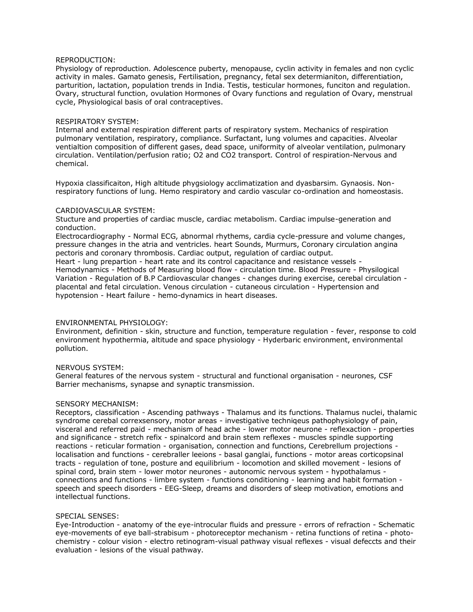# REPRODUCTION:

Physiology of reproduction. Adolescence puberty, menopause, cyclin activity in females and non cyclic activity in males. Gamato genesis, Fertilisation, pregnancy, fetal sex determianiton, differentiation, parturition, lactation, population trends in India. Testis, testicular hormones, funciton and regulation. Ovary, structural function, ovulation Hormones of Ovary functions and regulation of Ovary, menstrual cycle, Physiological basis of oral contraceptives.

## RESPIRATORY SYSTEM:

Internal and external respiration different parts of respiratory system. Mechanics of respiration pulmonary ventilation, respiratory, compliance. Surfactant, lung volumes and capacities. Alveolar ventialtion composition of different gases, dead space, uniformity of alveolar ventilation, pulmonary circulation. Ventilation/perfusion ratio; O2 and CO2 transport. Control of respiration-Nervous and chemical.

Hypoxia classificaiton, High altitude phygsiology acclimatization and dyasbarsim. Gynaosis. Nonrespiratory functions of lung. Hemo respiratory and cardio vascular co-ordination and homeostasis.

#### CARDIOVASCULAR SYSTEM:

Stucture and properties of cardiac muscle, cardiac metabolism. Cardiac impulse-generation and conduction.

Electrocardiography - Normal ECG, abnormal rhythems, cardia cycle-pressure and volume changes, pressure changes in the atria and ventricles. heart Sounds, Murmurs, Coronary circulation angina pectoris and coronary thrombosis. Cardiac output, regulation of cardiac output.

Heart - lung prepartion - heart rate and its control capacitance and resistance vessels - Hemodynamics - Methods of Measuring blood flow - circulation time. Blood Pressure - Physilogical Variation - Regulation of B.P Cardiovascular changes - changes during exercise, cerebal circulation placental and fetal circulation. Venous circulation - cutaneous circulation - Hypertension and hypotension - Heart failure - hemo-dynamics in heart diseases.

# ENVIRONMENTAL PHYSIOLOGY:

Environment, definition - skin, structure and function, temperature regulation - fever, response to cold environment hypothermia, altitude and space physiology - Hyderbaric environment, environmental pollution.

#### NERVOUS SYSTEM:

General features of the nervous system - structural and functional organisation - neurones, CSF Barrier mechanisms, synapse and synaptic transmission.

# SENSORY MECHANISM:

Receptors, classification - Ascending pathways - Thalamus and its functions. Thalamus nuclei, thalamic syndrome cerebal correxsensory, motor areas - investigative techniqeus pathophysiology of pain, visceral and referred paid - mechanism of head ache - lower motor neurone - reflexaction - properties and significance - stretch refix - spinalcord and brain stem reflexes - muscles spindle supporting reactions - reticular formation - organisation, connection and functions, Cerebrellum projections localisation and functions - cerebraller leeions - basal ganglai, functions - motor areas corticopsinal tracts - regulation of tone, posture and equilibrium - locomotion and skilled movement - lesions of spinal cord, brain stem - lower motor neurones - autonomic nervous system - hypothalamus connections and functions - limbre system - functions conditioning - learning and habit formation speech and speech disorders - EEG-Sleep, dreams and disorders of sleep motivation, emotions and intellectual functions.

#### SPECIAL SENSES:

Eye-Introduction - anatomy of the eye-introcular fluids and pressure - errors of refraction - Schematic eye-movements of eye ball-strabisum - photoreceptor mechanism - retina functions of retina - photochemistry - colour vision - electro retinogram-visual pathway visual reflexes - visual defeccts and their evaluation - lesions of the visual pathway.